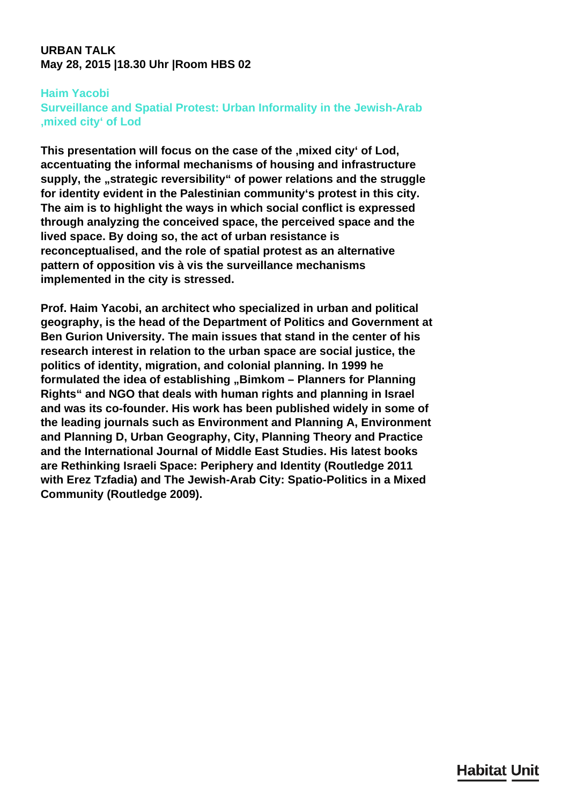### **URBAN TALK May 28, 2015 |18.30 Uhr |Room HBS 02**

#### **Haim Yacobi**

**Surveillance and Spatial Protest: Urban Informality in the Jewish-Arab 'mixed city' of Lod**

This presentation will focus on the case of the , mixed city' of Lod, **accentuating the informal mechanisms of housing and infrastructure** supply, the "strategic reversibility" of power relations and the struggle **for identity evident in the Palestinian community's protest in this city. The aim is to highlight the ways in which social conflict is expressed through analyzing the conceived space, the perceived space and the lived space. By doing so, the act of urban resistance is reconceptualised, and the role of spatial protest as an alternative pattern of opposition vis à vis the surveillance mechanisms implemented in the city is stressed.**

**Prof. Haim Yacobi, an architect who specialized in urban and political geography, is the head of the Department of Politics and Government at Ben Gurion University. The main issues that stand in the center of his research interest in relation to the urban space are social justice, the politics of identity, migration, and colonial planning. In 1999 he** formulated the idea of establishing "Bimkom - Planners for Planning **Rights" and NGO that deals with human rights and planning in Israel and was its co-founder. His work has been published widely in some of the leading journals such as Environment and Planning A, Environment and Planning D, Urban Geography, City, Planning Theory and Practice and the International Journal of Middle East Studies. His latest books are Rethinking Israeli Space: Periphery and Identity (Routledge 2011 with Erez Tzfadia) and The Jewish-Arab City: Spatio-Politics in a Mixed Community (Routledge 2009).**

## **Habitat Unit**